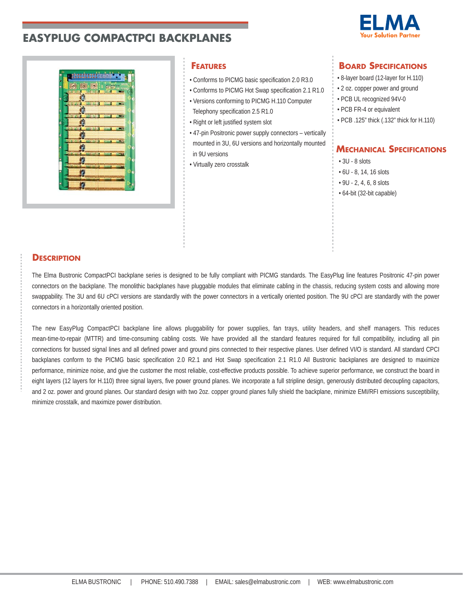



- Conforms to PICMG basic specification 2.0 R3.0
- Conforms to PICMG Hot Swap specification 2.1 R1.0 • Versions conforming to PICMG H.110 Computer Telephony specification 2.5 R1.0
- Right or left justified system slot
- 47-pin Positronic power supply connectors vertically mounted in 3U, 6U versions and horizontally mounted in 9U versions
- Virtually zero crosstalk

# **FEATURES BOARD SPECIFICATIONS**

- 8-layer board (12-layer for H.110)
- 2 oz. copper power and ground
- PCB UL recognized 94V-0
- PCB FR-4 or equivalent
- PCB .125" thick (.132" thick for H.110)

# **MECHANICAL SPECIFICATIONS**

- $\cdot$  3U 8 slots
- 6U 8, 14, 16 slots
- 9U 2, 4, 6, 8 slots
- 64-bit (32-bit capable)

## **DESCRIPTION**

The Elma Bustronic CompactPCI backplane series is designed to be fully compliant with PICMG standards. The EasyPlug line features Positronic 47-pin power connectors on the backplane. The monolithic backplanes have pluggable modules that eliminate cabling in the chassis, reducing system costs and allowing more swappability. The 3U and 6U cPCI versions are standardly with the power connectors in a vertically oriented position. The 9U cPCI are standardly with the power connectors in a horizontally oriented position.

The new EasyPlug CompactPCI backplane line allows pluggability for power supplies, fan trays, utility headers, and shelf managers. This reduces mean-time-to-repair (MTTR) and time-consuming cabling costs. We have provided all the standard features required for full compatibility, including all pin connections for bussed signal lines and all defined power and ground pins connected to their respective planes. User defined VI/O is standard. All standard CPCI backplanes conform to the PICMG basic specification 2.0 R2.1 and Hot Swap specification 2.1 R1.0 All Bustronic backplanes are designed to maximize performance, minimize noise, and give the customer the most reliable, cost-effective products possible. To achieve superior performance, we construct the board in eight layers (12 layers for H.110) three signal layers, five power ground planes. We incorporate a full stripline design, generously distributed decoupling capacitors, and 2 oz. power and ground planes. Our standard design with two 2oz. copper ground planes fully shield the backplane, minimize EMI/RFI emissions susceptibility, minimize crosstalk, and maximize power distribution.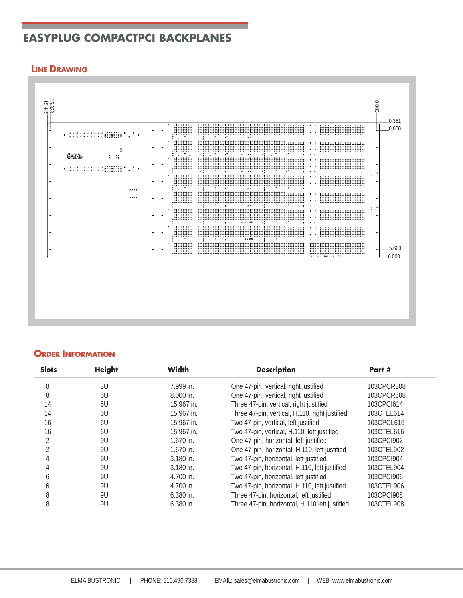## **LINE DRAWING**



## **ORDER INFORMATION**

| <b>Slots</b>   | <b>Height</b> | <b>Width</b> | <b>Description</b>                             | Part #     |
|----------------|---------------|--------------|------------------------------------------------|------------|
| 8              | 3U            | 7.999 in.    | One 47-pin, vertical, right justified          | 103CPCR308 |
| 8              | 6U            | $8.000$ in.  | One 47-pin, vertical, right justified          | 103CPCR608 |
| 14             | 6U            | 15.967 in.   | Three 47-pin, vertical, right justified        | 103CPCI614 |
| 14             | 6U            | 15.967 in.   | Three 47-pin, vertical, H.110, right justified | 103CTEL614 |
| 16             | 6U            | 15.967 in.   | Two 47-pin, vertical, left justified           | 103CPCL616 |
| 16             | 6U            | 15.967 in.   | Two 47-pin, vertical, H.110, left justified    | 103CTEL616 |
| 2              | 9U            | $1.670$ in.  | One 47-pin, horizontal, left justified         | 103CPCI902 |
| $\mathfrak{D}$ | 9U            | $1.670$ in.  | One 47-pin, horizontal, H.110, left justified  | 103CTEL902 |
| 4              | 9U            | 3.180 in.    | Two 47-pin, horizontal, left justified         | 103CPCI904 |
| 4              | 9U            | 3.180 in.    | Two 47-pin, horizontal, H.110, left justified  | 103CTEL904 |
| 6              | 9U            | 4.700 in.    | Two 47-pin, horizontal, left justified         | 103CPC1906 |
| <sub>6</sub>   | 9U            | 4.700 in.    | Two 47-pin, horizontal, H.110, left justified  | 103CTEL906 |
| 8              | 9U            | $6.380$ in.  | Three 47-pin, horizontal, left justified       | 103CPCI908 |
| 8              | 9U            | $6.380$ in.  | Three 47-pin, horizontal, H.110 left justified | 103CTEL908 |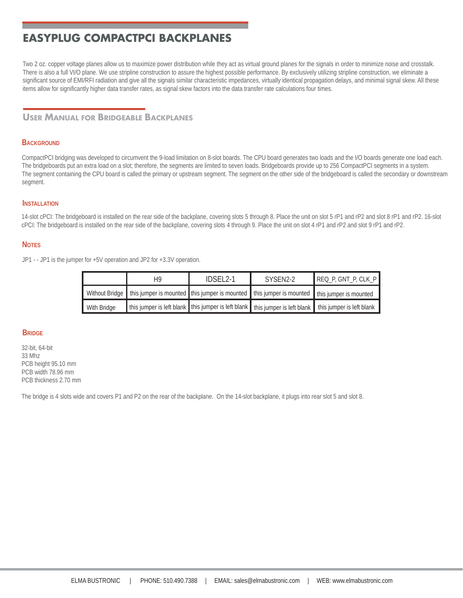Two 2 oz. copper voltage planes allow us to maximize power distribution while they act as virtual ground planes for the signals in order to minimize noise and crosstalk. There is also a full VI/O plane. We use stripline construction to assure the highest possible performance. By exclusively utilizing stripline construction, we eliminate a significant source of EMI/RFI radiation and give all the signals similar characteristic impedances, virtually identical propagation delays, and minimal signal skew. All these items allow for significantly higher data transfer rates, as signal skew factors into the data transfer rate calculations four times.

## **USER MANUAL FOR BRIDGEABLE BACKPLANES**

#### **BACKGROUND**

CompactPCI bridging was developed to circumvent the 9-load limitation on 8-slot boards. The CPU board generates two loads and the I/O boards generate one load each. The bridgeboards put an extra load on a slot; therefore, the segments are limited to seven loads. Bridgeboards provide up to 256 CompactPCI segments in a system. The segment containing the CPU board is called the primary or upstream segment. The segment on the other side of the bridgeboard is called the secondary or downstream segment.

#### **INSTALLATION**

14-slot cPCI: The bridgeboard is installed on the rear side of the backplane, covering slots 5 through 8. Place the unit on slot 5 rP1 and rP2 and slot 8 rP1 and rP2. 16-slot cPCI: The bridgeboard is installed on the rear side of the backplane, covering slots 4 through 9. Place the unit on slot 4 rP1 and rP2 and slot 9 rP1 and rP2.

#### **NOTES**

JP1 - - JP1 is the jumper for +5V operation and JP2 for +3.3V operation.

|             | H9 | IDSEL <sub>2-1</sub> | SYSEN2-2                                                                                                           | $REQ_P$ , GNT_P, CLK_P                                                                                  |
|-------------|----|----------------------|--------------------------------------------------------------------------------------------------------------------|---------------------------------------------------------------------------------------------------------|
|             |    |                      | Without Bridge I this jumper is mounted I this jumper is mounted I this jumper is mounted I this jumper is mounted |                                                                                                         |
| With Bridge |    |                      |                                                                                                                    | this jumper is left blank this jumper is left blank this jumper is left blank this jumper is left blank |

#### **BRIDGE**

32-bit, 64-bit 33 Mhz PCB height 95.10 mm PCB width 78.96 mm PCB thickness 2.70 mm

The bridge is 4 slots wide and covers P1 and P2 on the rear of the backplane. On the 14-slot backplane, it plugs into rear slot 5 and slot 8.